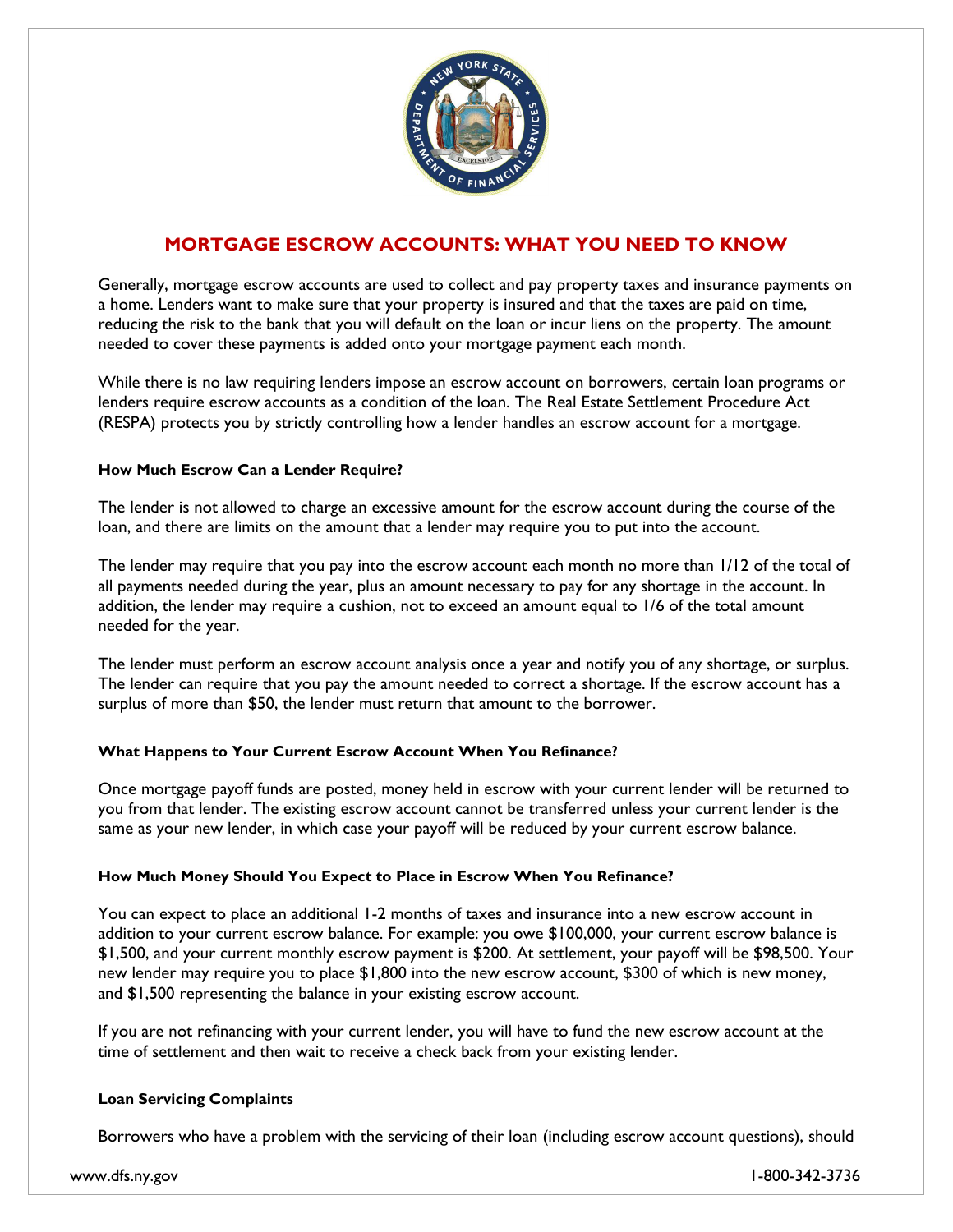

# **MORTGAGE ESCROW ACCOUNTS: WHAT YOU NEED TO KNOW**

Generally, mortgage escrow accounts are used to collect and pay property taxes and insurance payments on a home. Lenders want to make sure that your property is insured and that the taxes are paid on time, reducing the risk to the bank that you will default on the loan or incur liens on the property. The amount needed to cover these payments is added onto your mortgage payment each month.

While there is no law requiring lenders impose an escrow account on borrowers, certain loan programs or lenders require escrow accounts as a condition of the loan. The Real Estate Settlement Procedure Act (RESPA) protects you by strictly controlling how a lender handles an escrow account for a mortgage.

## **How Much Escrow Can a Lender Require?**

The lender is not allowed to charge an excessive amount for the escrow account during the course of the loan, and there are limits on the amount that a lender may require you to put into the account.

The lender may require that you pay into the escrow account each month no more than 1/12 of the total of all payments needed during the year, plus an amount necessary to pay for any shortage in the account. In addition, the lender may require a cushion, not to exceed an amount equal to 1/6 of the total amount needed for the year.

The lender must perform an escrow account analysis once a year and notify you of any shortage, or surplus. The lender can require that you pay the amount needed to correct a shortage. If the escrow account has a surplus of more than \$50, the lender must return that amount to the borrower.

## **What Happens to Your Current Escrow Account When You Refinance?**

Once mortgage payoff funds are posted, money held in escrow with your current lender will be returned to you from that lender. The existing escrow account cannot be transferred unless your current lender is the same as your new lender, in which case your payoff will be reduced by your current escrow balance.

### **How Much Money Should You Expect to Place in Escrow When You Refinance?**

You can expect to place an additional 1-2 months of taxes and insurance into a new escrow account in addition to your current escrow balance. For example: you owe \$100,000, your current escrow balance is \$1,500, and your current monthly escrow payment is \$200. At settlement, your payoff will be \$98,500. Your new lender may require you to place \$1,800 into the new escrow account, \$300 of which is new money, and \$1,500 representing the balance in your existing escrow account.

If you are not refinancing with your current lender, you will have to fund the new escrow account at the time of settlement and then wait to receive a check back from your existing lender.

### **Loan Servicing Complaints**

Borrowers who have a problem with the servicing of their loan (including escrow account questions), should